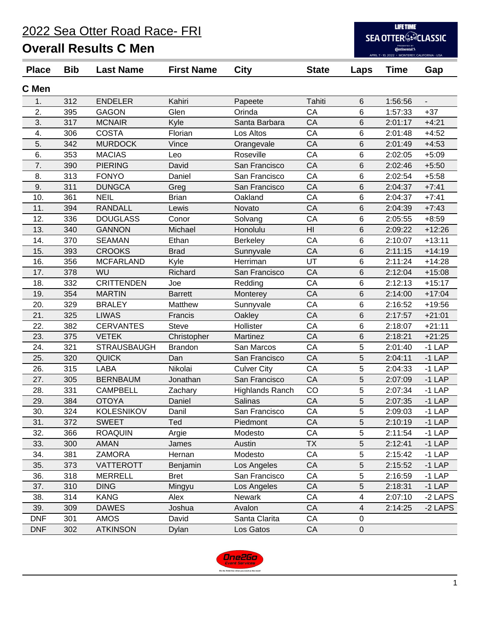2022 Sea Otter Road Race- FRI

## **Overall Results C Men**

**LIFETIME SEA OTTER EXCLASSIC** PRESENTED BY<br> **Continental 3**<br>
APRIL 7 - 10, 2022 • MONTEREY, CALIFORNIA

| <b>Place</b> | <b>Bib</b> | <b>Last Name</b>   | <b>First Name</b> | <b>City</b>            | <b>State</b> | Laps        | <b>Time</b> | Gap                      |
|--------------|------------|--------------------|-------------------|------------------------|--------------|-------------|-------------|--------------------------|
| C Men        |            |                    |                   |                        |              |             |             |                          |
| 1.           | 312        | <b>ENDELER</b>     | Kahiri            | Papeete                | Tahiti       | 6           | 1:56:56     | $\overline{\phantom{a}}$ |
| 2.           | 395        | <b>GAGON</b>       | Glen              | Orinda                 | CA           | 6           | 1:57:33     | $+37$                    |
| 3.           | 317        | <b>MCNAIR</b>      | Kyle              | Santa Barbara          | CA           | 6           | 2:01:17     | $+4:21$                  |
| 4.           | 306        | <b>COSTA</b>       | Florian           | Los Altos              | CA           | 6           | 2:01:48     | $+4:52$                  |
| 5.           | 342        | <b>MURDOCK</b>     | Vince             | Orangevale             | CA           | 6           | 2:01:49     | $+4:53$                  |
| 6.           | 353        | <b>MACIAS</b>      | Leo               | Roseville              | CA           | 6           | 2:02:05     | $+5:09$                  |
| 7.           | 390        | <b>PIERING</b>     | David             | San Francisco          | CA           | 6           | 2:02:46     | $+5:50$                  |
| 8.           | 313        | <b>FONYO</b>       | Daniel            | San Francisco          | CA           | 6           | 2:02:54     | $+5:58$                  |
| 9.           | 311        | <b>DUNGCA</b>      | Greg              | San Francisco          | CA           | 6           | 2:04:37     | $+7:41$                  |
| 10.          | 361        | <b>NEIL</b>        | <b>Brian</b>      | Oakland                | CA           | 6           | 2:04:37     | $+7:41$                  |
| 11.          | 394        | <b>RANDALL</b>     | Lewis             | Novato                 | CA           | 6           | 2:04:39     | $+7:43$                  |
| 12.          | 336        | <b>DOUGLASS</b>    | Conor             | Solvang                | CA           | 6           | 2:05:55     | $+8:59$                  |
| 13.          | 340        | <b>GANNON</b>      | Michael           | Honolulu               | HI           | 6           | 2:09:22     | $+12:26$                 |
| 14.          | 370        | <b>SEAMAN</b>      | Ethan             | <b>Berkeley</b>        | CA           | 6           | 2:10:07     | $+13:11$                 |
| 15.          | 393        | <b>CROOKS</b>      | <b>Brad</b>       | Sunnyvale              | CA           | 6           | 2:11:15     | $+14:19$                 |
| 16.          | 356        | <b>MCFARLAND</b>   | Kyle              | Herriman               | UT           | 6           | 2:11:24     | $+14:28$                 |
| 17.          | 378        | WU                 | Richard           | San Francisco          | CA           | 6           | 2:12:04     | $+15:08$                 |
| 18.          | 332        | <b>CRITTENDEN</b>  | Joe               | Redding                | CA           | 6           | 2:12:13     | $+15:17$                 |
| 19.          | 354        | <b>MARTIN</b>      | <b>Barrett</b>    | Monterey               | CA           | 6           | 2:14:00     | $+17:04$                 |
| 20.          | 329        | <b>BRALEY</b>      | Matthew           | Sunnyvale              | CA           | 6           | 2:16:52     | $+19:56$                 |
| 21.          | 325        | <b>LIWAS</b>       | Francis           | Oakley                 | CA           | 6           | 2:17:57     | $+21:01$                 |
| 22.          | 382        | <b>CERVANTES</b>   | <b>Steve</b>      | Hollister              | CA           | $\,6$       | 2:18:07     | $+21:11$                 |
| 23.          | 375        | <b>VETEK</b>       | Christopher       | Martinez               | CA           | 6           | 2:18:21     | $+21:25$                 |
| 24.          | 321        | <b>STRAUSBAUGH</b> | <b>Brandon</b>    | San Marcos             | CA           | 5           | 2:01:40     | $-1$ LAP                 |
| 25.          | 320        | <b>QUICK</b>       | Dan               | San Francisco          | CA           | 5           | 2:04:11     | $-1$ LAP                 |
| 26.          | 315        | <b>LABA</b>        | Nikolai           | <b>Culver City</b>     | CA           | 5           | 2:04:33     | $-1$ LAP                 |
| 27.          | 305        | <b>BERNBAUM</b>    | Jonathan          | San Francisco          | CA           | 5           | 2:07:09     | $-1$ LAP                 |
| 28.          | 331        | <b>CAMPBELL</b>    | Zachary           | <b>Highlands Ranch</b> | CO           | 5           | 2:07:34     | $-1$ LAP                 |
| 29.          | 384        | <b>OTOYA</b>       | Daniel            | Salinas                | CA           | 5           | 2:07:35     | $-1$ LAP                 |
| 30.          | 324        | <b>KOLESNIKOV</b>  | Danil             | San Francisco          | CA           | 5           | 2:09:03     | $-1$ LAP                 |
| 31.          | 372        | <b>SWEET</b>       | Ted               | Piedmont               | CA           | 5           | 2:10:19     | $-1$ LAP                 |
| 32.          | 366        | <b>ROAQUIN</b>     | Argie             | Modesto                | CA           | $\mathbf 5$ | 2:11:54     | $-1$ LAP                 |
| 33.          | 300        | <b>AMAN</b>        | James             | Austin                 | <b>TX</b>    | $\sqrt{5}$  | 2:12:41     | $-1$ LAP                 |
| 34.          | 381        | <b>ZAMORA</b>      | Hernan            | Modesto                | CA           | 5           | 2:15:42     | $-1$ LAP                 |
| 35.          | 373        | <b>VATTEROTT</b>   | Benjamin          | Los Angeles            | CA           | 5           | 2:15:52     | $-1$ LAP                 |
| 36.          | 318        | <b>MERRELL</b>     | <b>Bret</b>       | San Francisco          | CA           | 5           | 2:16:59     | $-1$ LAP                 |
| 37.          | 310        | <b>DING</b>        | Mingyu            | Los Angeles            | CA           | 5           | 2:18:31     | $-1$ LAP                 |
| 38.          | 314        | <b>KANG</b>        | Alex              | Newark                 | CA           | 4           | 2:07:10     | -2 LAPS                  |
| 39.          | 309        | <b>DAWES</b>       | Joshua            | Avalon                 | CA           | 4           | 2:14:25     | -2 LAPS                  |
| <b>DNF</b>   | 301        | <b>AMOS</b>        | David             | Santa Clarita          | CA           | $\mathbf 0$ |             |                          |
| <b>DNF</b>   | 302        | <b>ATKINSON</b>    | Dylan             | Los Gatos              | CA           | $\pmb{0}$   |             |                          |